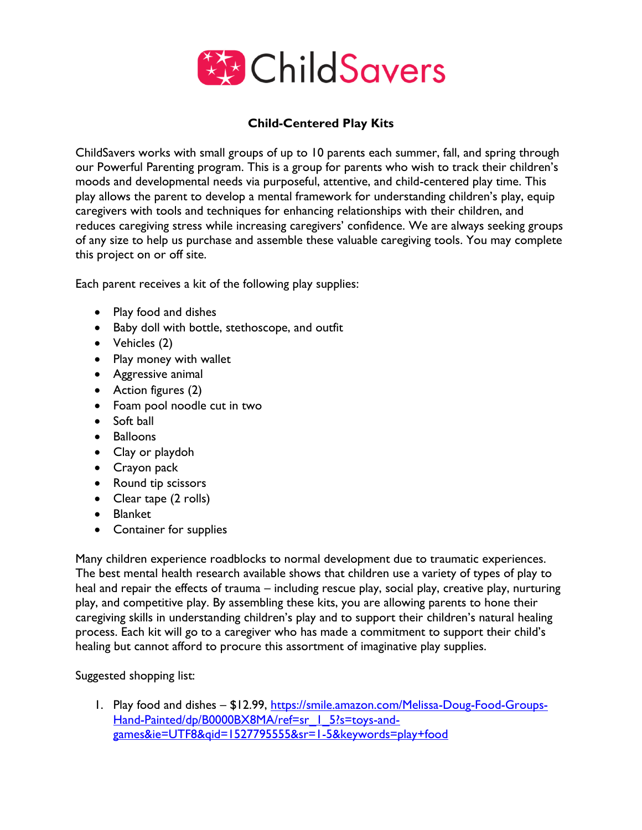

## **Child-Centered Play Kits**

ChildSavers works with small groups of up to 10 parents each summer, fall, and spring through our Powerful Parenting program. This is a group for parents who wish to track their children's moods and developmental needs via purposeful, attentive, and child-centered play time. This play allows the parent to develop a mental framework for understanding children's play, equip caregivers with tools and techniques for enhancing relationships with their children, and reduces caregiving stress while increasing caregivers' confidence. We are always seeking groups of any size to help us purchase and assemble these valuable caregiving tools. You may complete this project on or off site.

Each parent receives a kit of the following play supplies:

- Play food and dishes
- Baby doll with bottle, stethoscope, and outfit
- Vehicles (2)
- Play money with wallet
- Aggressive animal
- Action figures (2)
- Foam pool noodle cut in two
- Soft ball
- Balloons
- Clay or playdoh
- Crayon pack
- Round tip scissors
- Clear tape (2 rolls)
- Blanket
- Container for supplies

Many children experience roadblocks to normal development due to traumatic experiences. The best mental health research available shows that children use a variety of types of play to heal and repair the effects of trauma – including rescue play, social play, creative play, nurturing play, and competitive play. By assembling these kits, you are allowing parents to hone their caregiving skills in understanding children's play and to support their children's natural healing process. Each kit will go to a caregiver who has made a commitment to support their child's healing but cannot afford to procure this assortment of imaginative play supplies.

## Suggested shopping list:

1. Play food and dishes - \$12.99, [https://smile.amazon.com/Melissa-Doug-Food-Groups-](https://smile.amazon.com/Melissa-Doug-Food-Groups-Hand-Painted/dp/B0000BX8MA/ref=sr_1_5?s=toys-and-games&ie=UTF8&qid=1527795555&sr=1-5&keywords=play+food)Hand-Painted/dp/B0000BX8MA/ref=sr | 5?s=toys-and[games&ie=UTF8&qid=1527795555&sr=1-5&keywords=play+food](https://smile.amazon.com/Melissa-Doug-Food-Groups-Hand-Painted/dp/B0000BX8MA/ref=sr_1_5?s=toys-and-games&ie=UTF8&qid=1527795555&sr=1-5&keywords=play+food)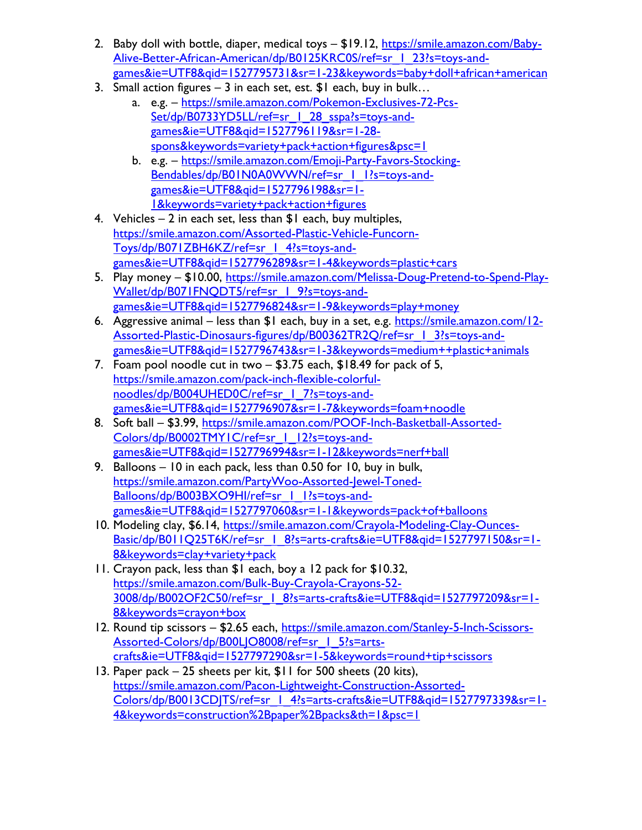- 2. Baby doll with bottle, diaper, medical toys \$19.12, [https://smile.amazon.com/Baby-](https://smile.amazon.com/Baby-Alive-Better-African-American/dp/B0125KRC0S/ref=sr_1_23?s=toys-and-games&ie=UTF8&qid=1527795731&sr=1-23&keywords=baby+doll+african+american)[Alive-Better-African-American/dp/B0125KRC0S/ref=sr\\_1\\_23?s=toys-and](https://smile.amazon.com/Baby-Alive-Better-African-American/dp/B0125KRC0S/ref=sr_1_23?s=toys-and-games&ie=UTF8&qid=1527795731&sr=1-23&keywords=baby+doll+african+american)[games&ie=UTF8&qid=1527795731&sr=1-23&keywords=baby+doll+african+american](https://smile.amazon.com/Baby-Alive-Better-African-American/dp/B0125KRC0S/ref=sr_1_23?s=toys-and-games&ie=UTF8&qid=1527795731&sr=1-23&keywords=baby+doll+african+american)
- 3. Small action figures 3 in each set, est.  $I \$ l each, buy in bulk...
	- a. e.g. [https://smile.amazon.com/Pokemon-Exclusives-72-Pcs-](https://smile.amazon.com/Pokemon-Exclusives-72-Pcs-Set/dp/B0733YD5LL/ref=sr_1_28_sspa?s=toys-and-games&ie=UTF8&qid=1527796119&sr=1-28-spons&keywords=variety+pack+action+figures&psc=1)Set/dp/B0733YD5LL/ref=sr | 28 sspa?s=toys-and[games&ie=UTF8&qid=1527796119&sr=1-28](https://smile.amazon.com/Pokemon-Exclusives-72-Pcs-Set/dp/B0733YD5LL/ref=sr_1_28_sspa?s=toys-and-games&ie=UTF8&qid=1527796119&sr=1-28-spons&keywords=variety+pack+action+figures&psc=1) [spons&keywords=variety+pack+action+figures&psc=1](https://smile.amazon.com/Pokemon-Exclusives-72-Pcs-Set/dp/B0733YD5LL/ref=sr_1_28_sspa?s=toys-and-games&ie=UTF8&qid=1527796119&sr=1-28-spons&keywords=variety+pack+action+figures&psc=1)
	- b. e.g. [https://smile.amazon.com/Emoji-Party-Favors-Stocking-](https://smile.amazon.com/Emoji-Party-Favors-Stocking-Bendables/dp/B01N0A0WWN/ref=sr_1_1?s=toys-and-games&ie=UTF8&qid=1527796198&sr=1-1&keywords=variety+pack+action+figures)Bendables/dp/B01N0A0WWN/ref=sr | 1?s=toys-and[games&ie=UTF8&qid=1527796198&sr=1-](https://smile.amazon.com/Emoji-Party-Favors-Stocking-Bendables/dp/B01N0A0WWN/ref=sr_1_1?s=toys-and-games&ie=UTF8&qid=1527796198&sr=1-1&keywords=variety+pack+action+figures) [1&keywords=variety+pack+action+figures](https://smile.amazon.com/Emoji-Party-Favors-Stocking-Bendables/dp/B01N0A0WWN/ref=sr_1_1?s=toys-and-games&ie=UTF8&qid=1527796198&sr=1-1&keywords=variety+pack+action+figures)
- 4. Vehicles  $-2$  in each set, less than  $$1$  each, buy multiples, [https://smile.amazon.com/Assorted-Plastic-Vehicle-Funcorn-](https://smile.amazon.com/Assorted-Plastic-Vehicle-Funcorn-Toys/dp/B071ZBH6KZ/ref=sr_1_4?s=toys-and-games&ie=UTF8&qid=1527796289&sr=1-4&keywords=plastic+cars)[Toys/dp/B071ZBH6KZ/ref=sr\\_1\\_4?s=toys-and](https://smile.amazon.com/Assorted-Plastic-Vehicle-Funcorn-Toys/dp/B071ZBH6KZ/ref=sr_1_4?s=toys-and-games&ie=UTF8&qid=1527796289&sr=1-4&keywords=plastic+cars)[games&ie=UTF8&qid=1527796289&sr=1-4&keywords=plastic+cars](https://smile.amazon.com/Assorted-Plastic-Vehicle-Funcorn-Toys/dp/B071ZBH6KZ/ref=sr_1_4?s=toys-and-games&ie=UTF8&qid=1527796289&sr=1-4&keywords=plastic+cars)
- 5. Play money \$10.00, [https://smile.amazon.com/Melissa-Doug-Pretend-to-Spend-Play-](https://smile.amazon.com/Melissa-Doug-Pretend-to-Spend-Play-Wallet/dp/B071FNQDT5/ref=sr_1_9?s=toys-and-games&ie=UTF8&qid=1527796824&sr=1-9&keywords=play+money)Wallet/dp/B071FNQDT5/ref=sr | 9?s=toys-and[games&ie=UTF8&qid=1527796824&sr=1-9&keywords=play+money](https://smile.amazon.com/Melissa-Doug-Pretend-to-Spend-Play-Wallet/dp/B071FNQDT5/ref=sr_1_9?s=toys-and-games&ie=UTF8&qid=1527796824&sr=1-9&keywords=play+money)
- 6. Aggressive animal less than \$1 each, buy in a set, e.g. [https://smile.amazon.com/12-](https://smile.amazon.com/12-Assorted-Plastic-Dinosaurs-figures/dp/B00362TR2Q/ref=sr_1_3?s=toys-and-games&ie=UTF8&qid=1527796743&sr=1-3&keywords=medium++plastic+animals) [Assorted-Plastic-Dinosaurs-figures/dp/B00362TR2Q/ref=sr\\_1\\_3?s=toys-and](https://smile.amazon.com/12-Assorted-Plastic-Dinosaurs-figures/dp/B00362TR2Q/ref=sr_1_3?s=toys-and-games&ie=UTF8&qid=1527796743&sr=1-3&keywords=medium++plastic+animals)[games&ie=UTF8&qid=1527796743&sr=1-3&keywords=medium++plastic+animals](https://smile.amazon.com/12-Assorted-Plastic-Dinosaurs-figures/dp/B00362TR2Q/ref=sr_1_3?s=toys-and-games&ie=UTF8&qid=1527796743&sr=1-3&keywords=medium++plastic+animals)
- 7. Foam pool noodle cut in two \$3.75 each, \$18.49 for pack of 5, [https://smile.amazon.com/pack-inch-flexible-colorful](https://smile.amazon.com/pack-inch-flexible-colorful-noodles/dp/B004UHED0C/ref=sr_1_7?s=toys-and-games&ie=UTF8&qid=1527796907&sr=1-7&keywords=foam+noodle)noodles/dp/B004UHED0C/ref=sr | 7?s=toys-and[games&ie=UTF8&qid=1527796907&sr=1-7&keywords=foam+noodle](https://smile.amazon.com/pack-inch-flexible-colorful-noodles/dp/B004UHED0C/ref=sr_1_7?s=toys-and-games&ie=UTF8&qid=1527796907&sr=1-7&keywords=foam+noodle)
- 8. Soft ball \$3.99, [https://smile.amazon.com/POOF-Inch-Basketball-Assorted-](https://smile.amazon.com/POOF-Inch-Basketball-Assorted-Colors/dp/B0002TMY1C/ref=sr_1_12?s=toys-and-games&ie=UTF8&qid=1527796994&sr=1-12&keywords=nerf+ball)[Colors/dp/B0002TMY1C/ref=sr\\_1\\_12?s=toys-and](https://smile.amazon.com/POOF-Inch-Basketball-Assorted-Colors/dp/B0002TMY1C/ref=sr_1_12?s=toys-and-games&ie=UTF8&qid=1527796994&sr=1-12&keywords=nerf+ball)[games&ie=UTF8&qid=1527796994&sr=1-12&keywords=nerf+ball](https://smile.amazon.com/POOF-Inch-Basketball-Assorted-Colors/dp/B0002TMY1C/ref=sr_1_12?s=toys-and-games&ie=UTF8&qid=1527796994&sr=1-12&keywords=nerf+ball)
- 9. Balloons 10 in each pack, less than 0.50 for 10, buy in bulk, [https://smile.amazon.com/PartyWoo-Assorted-Jewel-Toned-](https://smile.amazon.com/PartyWoo-Assorted-Jewel-Toned-Balloons/dp/B003BXO9HI/ref=sr_1_1?s=toys-and-games&ie=UTF8&qid=1527797060&sr=1-1&keywords=pack+of+balloons)Balloons/dp/B003BXO9HI/ref=sr | 1?s=toys-and[games&ie=UTF8&qid=1527797060&sr=1-1&keywords=pack+of+balloons](https://smile.amazon.com/PartyWoo-Assorted-Jewel-Toned-Balloons/dp/B003BXO9HI/ref=sr_1_1?s=toys-and-games&ie=UTF8&qid=1527797060&sr=1-1&keywords=pack+of+balloons)
- 10. Modeling clay, \$6.14, [https://smile.amazon.com/Crayola-Modeling-Clay-Ounces-](https://smile.amazon.com/Crayola-Modeling-Clay-Ounces-Basic/dp/B011Q25T6K/ref=sr_1_8?s=arts-crafts&ie=UTF8&qid=1527797150&sr=1-8&keywords=clay+variety+pack)Basic/dp/B011O25T6K/ref=sr\_1\_8?s=arts-crafts&ie=UTF8&qid=1527797150&sr=1-[8&keywords=clay+variety+pack](https://smile.amazon.com/Crayola-Modeling-Clay-Ounces-Basic/dp/B011Q25T6K/ref=sr_1_8?s=arts-crafts&ie=UTF8&qid=1527797150&sr=1-8&keywords=clay+variety+pack)
- 11. Crayon pack, less than \$1 each, boy a 12 pack for \$10.32, [https://smile.amazon.com/Bulk-Buy-Crayola-Crayons-52-](https://smile.amazon.com/Bulk-Buy-Crayola-Crayons-52-3008/dp/B002OF2C50/ref=sr_1_8?s=arts-crafts&ie=UTF8&qid=1527797209&sr=1-8&keywords=crayon+box) [3008/dp/B002OF2C50/ref=sr\\_1\\_8?s=arts-crafts&ie=UTF8&qid=1527797209&sr=1-](https://smile.amazon.com/Bulk-Buy-Crayola-Crayons-52-3008/dp/B002OF2C50/ref=sr_1_8?s=arts-crafts&ie=UTF8&qid=1527797209&sr=1-8&keywords=crayon+box) [8&keywords=crayon+box](https://smile.amazon.com/Bulk-Buy-Crayola-Crayons-52-3008/dp/B002OF2C50/ref=sr_1_8?s=arts-crafts&ie=UTF8&qid=1527797209&sr=1-8&keywords=crayon+box)
- 12. Round tip scissors \$2.65 each, [https://smile.amazon.com/Stanley-5-Inch-Scissors-](https://smile.amazon.com/Stanley-5-Inch-Scissors-Assorted-Colors/dp/B00LJO8008/ref=sr_1_5?s=arts-crafts&ie=UTF8&qid=1527797290&sr=1-5&keywords=round+tip+scissors)[Assorted-Colors/dp/B00LJO8008/ref=sr\\_1\\_5?s=arts](https://smile.amazon.com/Stanley-5-Inch-Scissors-Assorted-Colors/dp/B00LJO8008/ref=sr_1_5?s=arts-crafts&ie=UTF8&qid=1527797290&sr=1-5&keywords=round+tip+scissors)[crafts&ie=UTF8&qid=1527797290&sr=1-5&keywords=round+tip+scissors](https://smile.amazon.com/Stanley-5-Inch-Scissors-Assorted-Colors/dp/B00LJO8008/ref=sr_1_5?s=arts-crafts&ie=UTF8&qid=1527797290&sr=1-5&keywords=round+tip+scissors)
- 13. Paper pack 25 sheets per kit, \$11 for 500 sheets (20 kits), [https://smile.amazon.com/Pacon-Lightweight-Construction-Assorted-](https://smile.amazon.com/Pacon-Lightweight-Construction-Assorted-Colors/dp/B0013CDJTS/ref=sr_1_4?s=arts-crafts&ie=UTF8&qid=1527797339&sr=1-4&keywords=construction%2Bpaper%2Bpacks&th=1&psc=1)Colors/dp/B0013CDJTS/ref=sr | 4?s=arts-crafts&ie=UTF8&qid=1527797339&sr=1-[4&keywords=construction%2Bpaper%2Bpacks&th=1&psc=1](https://smile.amazon.com/Pacon-Lightweight-Construction-Assorted-Colors/dp/B0013CDJTS/ref=sr_1_4?s=arts-crafts&ie=UTF8&qid=1527797339&sr=1-4&keywords=construction%2Bpaper%2Bpacks&th=1&psc=1)